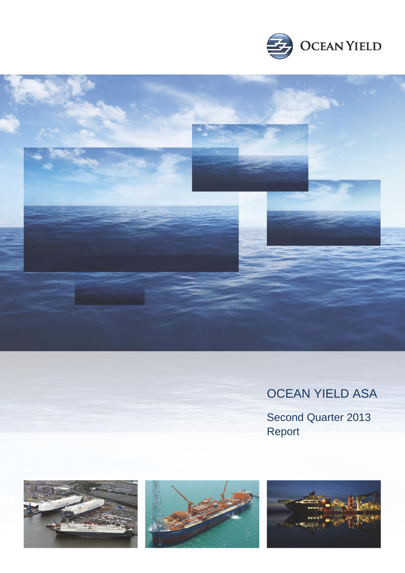



# OCEAN YIELD ASA

Second Quarter 2013 Report





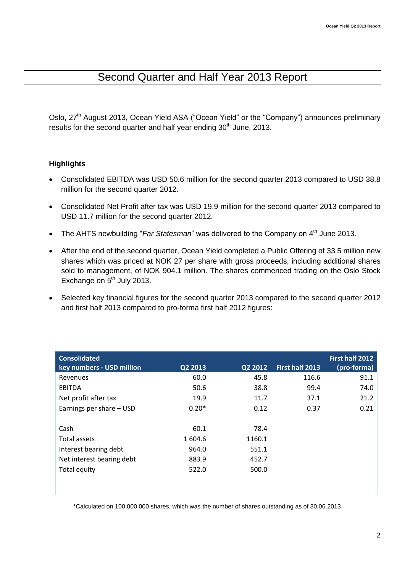## Second Quarter and Half Year 2013 Report

Oslo, 27<sup>th</sup> August 2013, Ocean Yield ASA ("Ocean Yield" or the "Company") announces preliminary results for the second quarter and half year ending  $30<sup>th</sup>$  June, 2013.

### **Highlights**

- Consolidated EBITDA was USD 50.6 million for the second quarter 2013 compared to USD 38.8 million for the second quarter 2012.
- Consolidated Net Profit after tax was USD 19.9 million for the second quarter 2013 compared to USD 11.7 million for the second quarter 2012.
- The AHTS newbuilding "Far Statesman" was delivered to the Company on 4<sup>th</sup> June 2013.
- After the end of the second quarter, Ocean Yield completed a Public Offering of 33.5 million new shares which was priced at NOK 27 per share with gross proceeds, including additional shares sold to management, of NOK 904.1 million. The shares commenced trading on the Oslo Stock Exchange on  $5<sup>th</sup>$  July 2013.
- Selected key financial figures for the second quarter 2013 compared to the second quarter 2012 and first half 2013 compared to pro-forma first half 2012 figures:

| <b>Consolidated</b>       |         |         |                 | First half 2012 |
|---------------------------|---------|---------|-----------------|-----------------|
| key numbers - USD million | Q2 2013 | Q2 2012 | First half 2013 | (pro-forma)     |
| Revenues                  | 60.0    | 45.8    | 116.6           | 91.1            |
| EBITDA                    | 50.6    | 38.8    | 99.4            | 74.0            |
| Net profit after tax      | 19.9    | 11.7    | 37.1            | 21.2            |
| Earnings per share - USD  | $0.20*$ | 0.12    | 0.37            | 0.21            |
|                           |         |         |                 |                 |
| Cash                      | 60.1    | 78.4    |                 |                 |
| Total assets              | 1 604.6 | 1160.1  |                 |                 |
| Interest bearing debt     | 964.0   | 551.1   |                 |                 |
| Net interest bearing debt | 883.9   | 452.7   |                 |                 |
| Total equity              | 522.0   | 500.0   |                 |                 |
|                           |         |         |                 |                 |
|                           |         |         |                 |                 |

\*Calculated on 100,000,000 shares, which was the number of shares outstanding as of 30.06.2013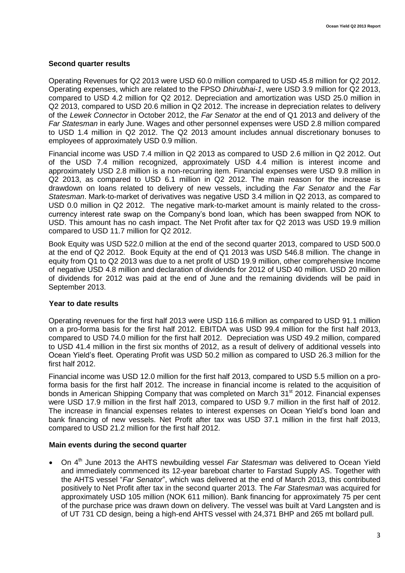### **Second quarter results**

Operating Revenues for Q2 2013 were USD 60.0 million compared to USD 45.8 million for Q2 2012. Operating expenses, which are related to the FPSO *Dhirubhai-1*, were USD 3.9 million for Q2 2013, compared to USD 4.2 million for Q2 2012. Depreciation and amortization was USD 25.0 million in Q2 2013, compared to USD 20.6 million in Q2 2012. The increase in depreciation relates to delivery of the *Lewek Connector* in October 2012, the *Far Senator* at the end of Q1 2013 and delivery of the *Far Statesman* in early June. Wages and other personnel expenses were USD 2.8 million compared to USD 1.4 million in Q2 2012. The Q2 2013 amount includes annual discretionary bonuses to employees of approximately USD 0.9 million.

Financial income was USD 7.4 million in Q2 2013 as compared to USD 2.6 million in Q2 2012. Out of the USD 7.4 million recognized, approximately USD 4.4 million is interest income and approximately USD 2.8 million is a non-recurring item. Financial expenses were USD 9.8 million in Q2 2013, as compared to USD 6.1 million in Q2 2012. The main reason for the increase is drawdown on loans related to delivery of new vessels, including the *Far Senator* and the *Far Statesman*. Mark-to-market of derivatives was negative USD 3.4 million in Q2 2013, as compared to USD 0.0 million in Q2 2012. The negative mark-to-market amount is mainly related to the crosscurrency interest rate swap on the Company's bond loan, which has been swapped from NOK to USD. This amount has no cash impact. The Net Profit after tax for Q2 2013 was USD 19.9 million compared to USD 11.7 million for Q2 2012.

Book Equity was USD 522.0 million at the end of the second quarter 2013, compared to USD 500.0 at the end of Q2 2012. Book Equity at the end of Q1 2013 was USD 546.8 million. The change in equity from Q1 to Q2 2013 was due to a net profit of USD 19.9 million, other comprehensive Income of negative USD 4.8 million and declaration of dividends for 2012 of USD 40 million. USD 20 million of dividends for 2012 was paid at the end of June and the remaining dividends will be paid in September 2013.

#### **Year to date results**

Operating revenues for the first half 2013 were USD 116.6 million as compared to USD 91.1 million on a pro-forma basis for the first half 2012. EBITDA was USD 99.4 million for the first half 2013, compared to USD 74.0 million for the first half 2012. Depreciation was USD 49.2 million, compared to USD 41.4 million in the first six months of 2012, as a result of delivery of additional vessels into Ocean Yield's fleet. Operating Profit was USD 50.2 million as compared to USD 26.3 million for the first half 2012.

Financial income was USD 12.0 million for the first half 2013, compared to USD 5.5 million on a proforma basis for the first half 2012. The increase in financial income is related to the acquisition of bonds in American Shipping Company that was completed on March 31<sup>st</sup> 2012. Financial expenses were USD 17.9 million in the first half 2013, compared to USD 9.7 million in the first half of 2012. The increase in financial expenses relates to interest expenses on Ocean Yield's bond loan and bank financing of new vessels. Net Profit after tax was USD 37.1 million in the first half 2013, compared to USD 21.2 million for the first half 2012.

### **Main events during the second quarter**

• On 4<sup>th</sup> June 2013 the AHTS newbuilding vessel *Far Statesman* was delivered to Ocean Yield and immediately commenced its 12-year bareboat charter to Farstad Supply AS. Together with the AHTS vessel "*Far Senator*", which was delivered at the end of March 2013, this contributed positively to Net Profit after tax in the second quarter 2013. The *Far Statesman* was acquired for approximately USD 105 million (NOK 611 million). Bank financing for approximately 75 per cent of the purchase price was drawn down on delivery. The vessel was built at Vard Langsten and is of UT 731 CD design, being a high-end AHTS vessel with 24,371 BHP and 265 mt bollard pull.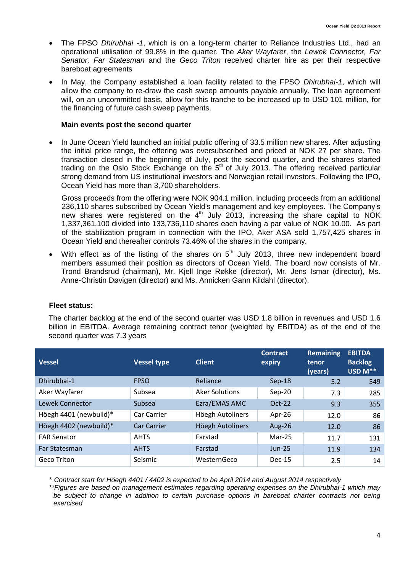- The FPSO *Dhirubhai -1*, which is on a long-term charter to Reliance Industries Ltd., had an operational utilisation of 99.8% in the quarter. The *Aker Wayfarer*, the *Lewek Connector, Far Senator, Far Statesman* and the *Geco Triton* received charter hire as per their respective bareboat agreements
- In May, the Company established a loan facility related to the FPSO *Dhirubhai-1*, which will allow the company to re-draw the cash sweep amounts payable annually. The loan agreement will, on an uncommitted basis, allow for this tranche to be increased up to USD 101 million, for the financing of future cash sweep payments.

#### **Main events post the second quarter**

 In June Ocean Yield launched an initial public offering of 33.5 million new shares. After adjusting the initial price range, the offering was oversubscribed and priced at NOK 27 per share. The transaction closed in the beginning of July, post the second quarter, and the shares started trading on the Oslo Stock Exchange on the  $5<sup>th</sup>$  of July 2013. The offering received particular strong demand from US institutional investors and Norwegian retail investors. Following the IPO, Ocean Yield has more than 3,700 shareholders.

Gross proceeds from the offering were NOK 904.1 million, including proceeds from an additional 236,110 shares subscribed by Ocean Yield's management and key employees. The Company's new shares were registered on the  $4<sup>th</sup>$  July 2013, increasing the share capital to NOK 1,337,361,100 divided into 133,736,110 shares each having a par value of NOK 10.00. As part of the stabilization program in connection with the IPO, Aker ASA sold 1,757,425 shares in Ocean Yield and thereafter controls 73.46% of the shares in the company.

With effect as of the listing of the shares on  $5<sup>th</sup>$  July 2013, three new independent board members assumed their position as directors of Ocean Yield. The board now consists of Mr. Trond Brandsrud (chairman), Mr. Kjell Inge Røkke (director), Mr. Jens Ismar (director), Ms. Anne-Christin Døvigen (director) and Ms. Annicken Gann Kildahl (director).

#### **Fleet status:**

The charter backlog at the end of the second quarter was USD 1.8 billion in revenues and USD 1.6 billion in EBITDA. Average remaining contract tenor (weighted by EBITDA) as of the end of the second quarter was 7.3 years

| <b>Vessel</b>          | <b>Vessel type</b> | <b>Client</b>         | <b>Contract</b><br>expiry | <b>Remaining</b><br>tenor.<br>(years) | <b>EBITDA</b><br><b>Backlog</b><br>USD M** |
|------------------------|--------------------|-----------------------|---------------------------|---------------------------------------|--------------------------------------------|
| Dhirubhai-1            | <b>FPSO</b>        | Reliance              | $Sep-18$                  | 5.2                                   | 549                                        |
| Aker Wayfarer          | Subsea             | <b>Aker Solutions</b> | $Sep-20$                  | 7.3                                   | 285                                        |
| Lewek Connector        | Subsea             | Ezra/EMAS AMC         | $Oct-22$                  | 9.3                                   | 355                                        |
| Höegh 4401 (newbuild)* | Car Carrier        | Höegh Autoliners      | Apr-26                    | 12.0                                  | 86                                         |
| Höegh 4402 (newbuild)* | <b>Car Carrier</b> | Höegh Autoliners      | <b>Aug-26</b>             | 12.0                                  | 86                                         |
| <b>FAR Senator</b>     | <b>AHTS</b>        | Farstad               | $Mar-25$                  | 11.7                                  | 131                                        |
| Far Statesman          | <b>AHTS</b>        | Farstad               | $Jun-25$                  | 11.9                                  | 134                                        |
| Geco Triton            | Seismic            | WesternGeco           | $Dec-15$                  | 2.5                                   | 14                                         |

*\* Contract start for Höegh 4401 / 4402 is expected to be April 2014 and August 2014 respectively*

*\*\*Figures are based on management estimates regarding operating expenses on the Dhirubhai-1 which may be subject to change in addition to certain purchase options in bareboat charter contracts not being exercised*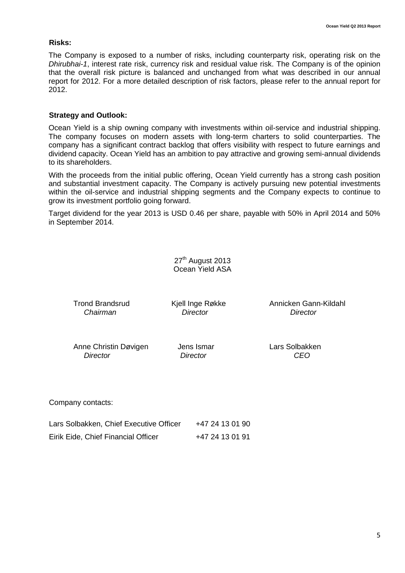#### **Risks:**

The Company is exposed to a number of risks, including counterparty risk, operating risk on the *Dhirubhai-1*, interest rate risk, currency risk and residual value risk. The Company is of the opinion that the overall risk picture is balanced and unchanged from what was described in our annual report for 2012. For a more detailed description of risk factors, please refer to the annual report for 2012.

#### **Strategy and Outlook:**

Ocean Yield is a ship owning company with investments within oil-service and industrial shipping. The company focuses on modern assets with long-term charters to solid counterparties. The company has a significant contract backlog that offers visibility with respect to future earnings and dividend capacity. Ocean Yield has an ambition to pay attractive and growing semi-annual dividends to its shareholders.

With the proceeds from the initial public offering, Ocean Yield currently has a strong cash position and substantial investment capacity. The Company is actively pursuing new potential investments within the oil-service and industrial shipping segments and the Company expects to continue to grow its investment portfolio going forward.

Target dividend for the year 2013 is USD 0.46 per share, payable with 50% in April 2014 and 50% in September 2014.

> 27<sup>th</sup> August 2013 Ocean Yield ASA

*Chairman Director Director*

Trond Brandsrud Kjell Inge Røkke Annicken Gann-Kildahl

Anne Christin Døvigen Jens Ismar Cars Solbakken  *Director Director CEO*

Company contacts:

| Lars Solbakken, Chief Executive Officer | +47 24 13 01 90 |
|-----------------------------------------|-----------------|
| Eirik Eide, Chief Financial Officer     | +47 24 13 01 91 |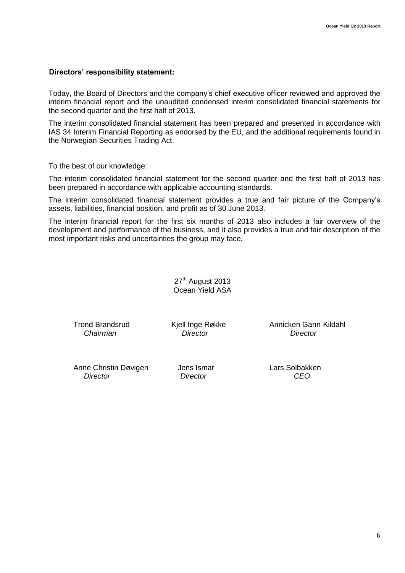#### **Directors' responsibility statement:**

Today, the Board of Directors and the company's chief executive officer reviewed and approved the interim financial report and the unaudited condensed interim consolidated financial statements for the second quarter and the first half of 2013.

The interim consolidated financial statement has been prepared and presented in accordance with IAS 34 Interim Financial Reporting as endorsed by the EU, and the additional requirements found in the Norwegian Securities Trading Act.

To the best of our knowledge:

The interim consolidated financial statement for the second quarter and the first half of 2013 has been prepared in accordance with applicable accounting standards.

The interim consolidated financial statement provides a true and fair picture of the Company's assets, liabilities, financial position, and profit as of 30 June 2013.

The interim financial report for the first six months of 2013 also includes a fair overview of the development and performance of the business, and it also provides a true and fair description of the most important risks and uncertainties the group may face.

> 27<sup>th</sup> August 2013 Ocean Yield ASA

*Chairman Director Director*

Trond Brandsrud Kjell Inge Røkke Annicken Gann-Kildahl

Anne Christin Døvigen Jens Ismar Lars Solbakken  *Director Director CEO*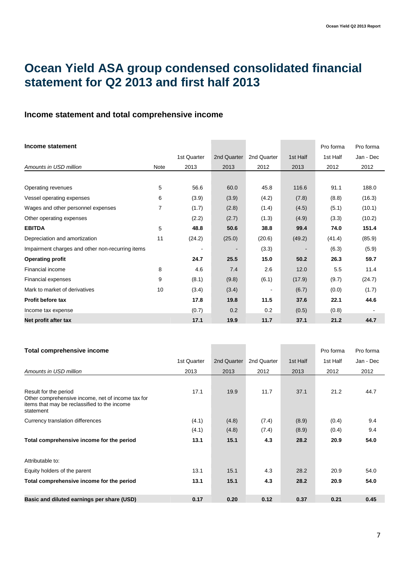# **Ocean Yield ASA group condensed consolidated financial statement for Q2 2013 and first half 2013**

### **Income statement and total comprehensive income**

| Income statement                                 |      |                          |             |                          |                          | Pro forma | Pro forma |
|--------------------------------------------------|------|--------------------------|-------------|--------------------------|--------------------------|-----------|-----------|
|                                                  |      | 1st Quarter              | 2nd Quarter | 2nd Quarter              | 1st Half                 | 1st Half  | Jan - Dec |
| Amounts in USD million                           | Note | 2013                     | 2013        | 2012                     | 2013                     | 2012      | 2012      |
|                                                  |      |                          |             |                          |                          |           |           |
| Operating revenues                               | 5    | 56.6                     | 60.0        | 45.8                     | 116.6                    | 91.1      | 188.0     |
| Vessel operating expenses                        | 6    | (3.9)                    | (3.9)       | (4.2)                    | (7.8)                    | (8.8)     | (16.3)    |
| Wages and other personnel expenses               | 7    | (1.7)                    | (2.8)       | (1.4)                    | (4.5)                    | (5.1)     | (10.1)    |
| Other operating expenses                         |      | (2.2)                    | (2.7)       | (1.3)                    | (4.9)                    | (3.3)     | (10.2)    |
| <b>EBITDA</b>                                    | 5    | 48.8                     | 50.6        | 38.8                     | 99.4                     | 74.0      | 151.4     |
| Depreciation and amortization                    | 11   | (24.2)                   | (25.0)      | (20.6)                   | (49.2)                   | (41.4)    | (85.9)    |
| Impairment charges and other non-recurring items |      | $\overline{\phantom{a}}$ | ۰           | (3.3)                    | $\overline{\phantom{a}}$ | (6.3)     | (5.9)     |
| <b>Operating profit</b>                          |      | 24.7                     | 25.5        | 15.0                     | 50.2                     | 26.3      | 59.7      |
| Financial income                                 | 8    | 4.6                      | 7.4         | 2.6                      | 12.0                     | 5.5       | 11.4      |
| Financial expenses                               | 9    | (8.1)                    | (9.8)       | (6.1)                    | (17.9)                   | (9.7)     | (24.7)    |
| Mark to market of derivatives                    | 10   | (3.4)                    | (3.4)       | $\overline{\phantom{a}}$ | (6.7)                    | (0.0)     | (1.7)     |
| <b>Profit before tax</b>                         |      | 17.8                     | 19.8        | 11.5                     | 37.6                     | 22.1      | 44.6      |
| Income tax expense                               |      | (0.7)                    | 0.2         | 0.2                      | (0.5)                    | (0.8)     |           |
| Net profit after tax                             |      | 17.1                     | 19.9        | 11.7                     | 37.1                     | 21.2      | 44.7      |

| Total comprehensive income                                                                                                              |             |             |             |          | Pro forma | Pro forma |
|-----------------------------------------------------------------------------------------------------------------------------------------|-------------|-------------|-------------|----------|-----------|-----------|
|                                                                                                                                         | 1st Quarter | 2nd Quarter | 2nd Quarter | 1st Half | 1st Half  | Jan - Dec |
| Amounts in USD million                                                                                                                  | 2013        | 2013        | 2012        | 2013     | 2012      | 2012      |
| Result for the period<br>Other comprehensive income, net of income tax for<br>items that may be reclassified to the income<br>statement | 17.1        | 19.9        | 11.7        | 37.1     | 21.2      | 44.7      |
| Currency translation differences                                                                                                        | (4.1)       | (4.8)       | (7.4)       | (8.9)    | (0.4)     | 9.4       |
|                                                                                                                                         | (4.1)       | (4.8)       | (7.4)       | (8.9)    | (0.4)     | 9.4       |
| Total comprehensive income for the period                                                                                               | 13.1        | 15.1        | 4.3         | 28.2     | 20.9      | 54.0      |
| Attributable to:                                                                                                                        |             |             |             |          |           |           |
| Equity holders of the parent                                                                                                            | 13.1        | 15.1        | 4.3         | 28.2     | 20.9      | 54.0      |
| Total comprehensive income for the period                                                                                               | 13.1        | 15.1        | 4.3         | 28.2     | 20.9      | 54.0      |
| Basic and diluted earnings per share (USD)                                                                                              | 0.17        | 0.20        | 0.12        | 0.37     | 0.21      | 0.45      |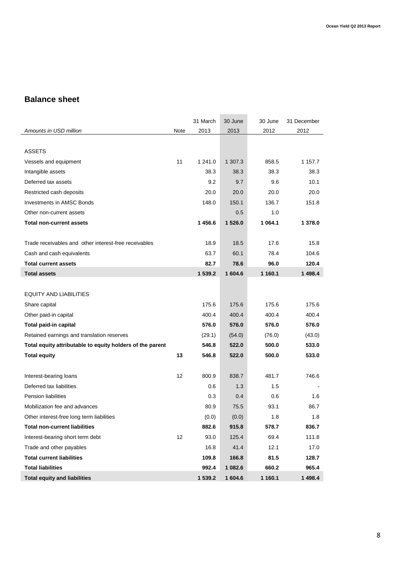### **Balance sheet**

|                                                           |      | 31 March | 30 June | 30 June  | 31 December |
|-----------------------------------------------------------|------|----------|---------|----------|-------------|
| Amounts in USD million                                    | Note | 2013     | 2013    | 2012     | 2012        |
|                                                           |      |          |         |          |             |
| <b>ASSETS</b>                                             |      |          |         |          |             |
| Vessels and equipment                                     | 11   | 1 241.0  | 1 307.3 | 858.5    | 1 157.7     |
| Intangible assets                                         |      | 38.3     | 38.3    | 38.3     | 38.3        |
| Deferred tax assets                                       |      | 9.2      | 9.7     | 9.6      | 10.1        |
| Restricted cash deposits                                  |      | 20.0     | 20.0    | 20.0     | 20.0        |
| <b>Investments in AMSC Bonds</b>                          |      | 148.0    | 150.1   | 136.7    | 151.8       |
| Other non-current assets                                  |      |          | 0.5     | 1.0      |             |
| <b>Total non-current assets</b>                           |      | 1456.6   | 1 526.0 | 1 0 64.1 | 1 378.0     |
|                                                           |      |          |         |          |             |
| Trade receivables and other interest-free receivables     |      | 18.9     | 18.5    | 17.6     | 15.8        |
| Cash and cash equivalents                                 |      | 63.7     | 60.1    | 78.4     | 104.6       |
| <b>Total current assets</b>                               |      | 82.7     | 78.6    | 96.0     | 120.4       |
| <b>Total assets</b>                                       |      | 1 539.2  | 1 604.6 | 1 160.1  | 1 498.4     |
|                                                           |      |          |         |          |             |
| <b>EQUITY AND LIABILITIES</b>                             |      |          |         |          |             |
| Share capital                                             |      | 175.6    | 175.6   | 175.6    | 175.6       |
| Other paid-in capital                                     |      | 400.4    | 400.4   | 400.4    | 400.4       |
| Total paid-in capital                                     |      | 576.0    | 576.0   | 576.0    | 576.0       |
| Retained earnings and translation reserves                |      | (29.1)   | (54.0)  | (76.0)   | (43.0)      |
| Total equity attributable to equity holders of the parent |      | 546.8    | 522.0   | 500.0    | 533.0       |
| <b>Total equity</b>                                       | 13   | 546.8    | 522.0   | 500.0    | 533.0       |
| Interest-bearing loans                                    | 12   | 800.9    | 838.7   | 481.7    | 746.6       |
| Deferred tax liabilities                                  |      | 0.6      | 1.3     | 1.5      |             |
| <b>Pension liabilities</b>                                |      | 0.3      | 0.4     | 0.6      | 1.6         |
| Mobilization fee and advances                             |      | 80.9     | 75.5    | 93.1     | 86.7        |
| Other interest-free long term liabilities                 |      | (0.0)    | (0.0)   | 1.8      | 1.8         |
| <b>Total non-current liabilities</b>                      |      | 882.6    | 915.8   | 578.7    | 836.7       |
| Interest-bearing short term debt                          | 12   | 93.0     | 125.4   | 69.4     | 111.8       |
| Trade and other payables                                  |      | 16.8     | 41.4    | 12.1     | 17.0        |
| <b>Total current liabilities</b>                          |      | 109.8    | 166.8   | 81.5     | 128.7       |
| <b>Total liabilities</b>                                  |      | 992.4    | 1 082.6 | 660.2    | 965.4       |
| <b>Total equity and liabilities</b>                       |      | 1 539.2  | 1604.6  | 1 160.1  | 1 498.4     |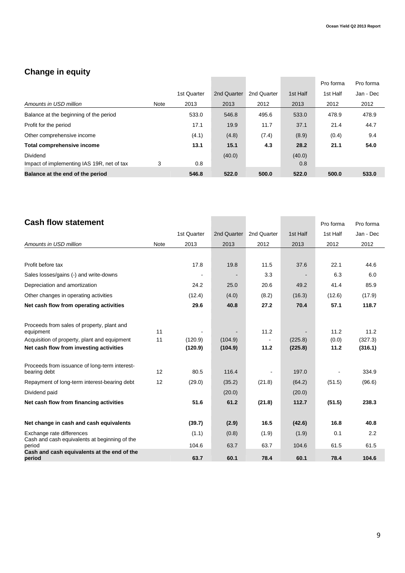### **Change in equity**

|                                            |      |             |             |             |          | Pro forma | Pro forma |
|--------------------------------------------|------|-------------|-------------|-------------|----------|-----------|-----------|
|                                            |      | 1st Quarter | 2nd Quarter | 2nd Quarter | 1st Half | 1st Half  | Jan - Dec |
| Amounts in USD million                     | Note | 2013        | 2013        | 2012        | 2013     | 2012      | 2012      |
| Balance at the beginning of the period     |      | 533.0       | 546.8       | 495.6       | 533.0    | 478.9     | 478.9     |
| Profit for the period                      |      | 17.1        | 19.9        | 11.7        | 37.1     | 21.4      | 44.7      |
| Other comprehensive income                 |      | (4.1)       | (4.8)       | (7.4)       | (8.9)    | (0.4)     | 9.4       |
| Total comprehensive income                 |      | 13.1        | 15.1        | 4.3         | 28.2     | 21.1      | 54.0      |
| Dividend                                   |      |             | (40.0)      |             | (40.0)   |           |           |
| Impact of implementing IAS 19R, net of tax | 3    | 0.8         |             |             | 0.8      |           |           |
| Balance at the end of the period           |      | 546.8       | 522.0       | 500.0       | 522.0    | 500.0     | 533.0     |

# **Cash flow statement Cash flow statement**

|                                                                            |      | 1st Quarter | 2nd Quarter | 2nd Quarter | 1st Half | 1st Half | Jan - Dec |
|----------------------------------------------------------------------------|------|-------------|-------------|-------------|----------|----------|-----------|
| Amounts in USD million                                                     | Note | 2013        | 2013        | 2012        | 2013     | 2012     | 2012      |
|                                                                            |      |             |             |             |          |          |           |
| Profit before tax                                                          |      | 17.8        | 19.8        | 11.5        | 37.6     | 22.1     | 44.6      |
| Sales losses/gains (-) and write-downs                                     |      |             |             | 3.3         |          | 6.3      | 6.0       |
| Depreciation and amortization                                              |      | 24.2        | 25.0        | 20.6        | 49.2     | 41.4     | 85.9      |
| Other changes in operating activities                                      |      | (12.4)      | (4.0)       | (8.2)       | (16.3)   | (12.6)   | (17.9)    |
| Net cash flow from operating activities                                    |      | 29.6        | 40.8        | 27.2        | 70.4     | 57.1     | 118.7     |
| Proceeds from sales of property, plant and                                 |      |             |             |             |          |          |           |
| equipment                                                                  | 11   |             |             | 11.2        |          | 11.2     | 11.2      |
| Acquisition of property, plant and equipment                               | 11   | (120.9)     | (104.9)     |             | (225.8)  | (0.0)    | (327.3)   |
| Net cash flow from investing activities                                    |      | (120.9)     | (104.9)     | 11.2        | (225.8)  | 11.2     | (316.1)   |
| Proceeds from issuance of long-term interest-<br>bearing debt              | 12   | 80.5        | 116.4       |             | 197.0    |          | 334.9     |
| Repayment of long-term interest-bearing debt                               | 12   | (29.0)      | (35.2)      | (21.8)      | (64.2)   | (51.5)   | (96.6)    |
| Dividend paid                                                              |      |             | (20.0)      |             | (20.0)   |          |           |
| Net cash flow from financing activities                                    |      | 51.6        | 61.2        | (21.8)      | 112.7    | (51.5)   | 238.3     |
| Net change in cash and cash equivalents                                    |      | (39.7)      | (2.9)       | 16.5        | (42.6)   | 16.8     | 40.8      |
| Exchange rate differences<br>Cash and cash equivalents at beginning of the |      | (1.1)       | (0.8)       | (1.9)       | (1.9)    | 0.1      | 2.2       |
| period<br>Cash and cash equivalents at the end of the                      |      | 104.6       | 63.7        | 63.7        | 104.6    | 61.5     | 61.5      |
| period                                                                     |      | 63.7        | 60.1        | 78.4        | 60.1     | 78.4     | 104.6     |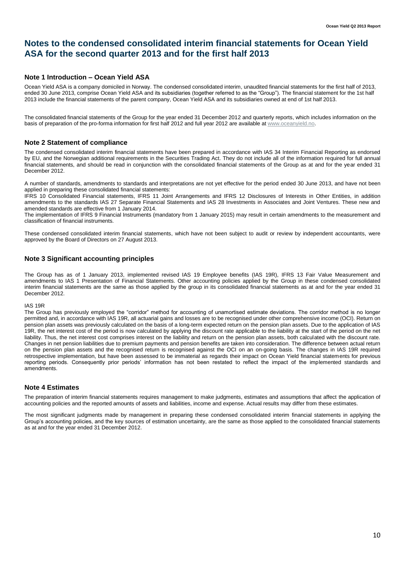### **Notes to the condensed consolidated interim financial statements for Ocean Yield ASA for the second quarter 2013 and for the first half 2013**

#### **Note 1 Introduction – Ocean Yield ASA**

Ocean Yield ASA is a company domiciled in Norway. The condensed consolidated interim, unaudited financial statements for the first half of 2013, ended 30 June 2013, comprise Ocean Yield ASA and its subsidiaries (together referred to as the "Group"). The financial statement for the 1st half 2013 include the financial statements of the parent company, Ocean Yield ASA and its subsidiaries owned at end of 1st half 2013.

The consolidated financial statements of the Group for the year ended 31 December 2012 and quarterly reports, which includes information on the basis of preparation of the pro-forma information for first half 2012 and full year 2012 are available at www.oceanyield.no.

#### **Note 2 Statement of compliance**

The condensed consolidated interim financial statements have been prepared in accordance with IAS 34 Interim Financial Reporting as endorsed by EU, and the Norwegian additional requirements in the Securities Trading Act. They do not include all of the information required for full annual financial statements, and should be read in conjunction with the consolidated financial statements of the Group as at and for the year ended 31 December 2012.

A number of standards, amendments to standards and interpretations are not yet effective for the period ended 30 June 2013, and have not been applied in preparing these consolidated financial statements:

IFRS 10 Consolidated Financial statements, IFRS 11 Joint Arrangements and IFRS 12 Disclosures of Interests in Other Entities, in addition amendments to the standards IAS 27 Separate Financial Statements and IAS 28 Investments in Associates and Joint Ventures. These new and amended standards are effective from 1 January 2014.

The implementation of IFRS 9 Financial Instruments (mandatory from 1 January 2015) may result in certain amendments to the measurement and classification of financial instruments.

These condensed consolidated interim financial statements, which have not been subject to audit or review by independent accountants, were approved by the Board of Directors on 27 August 2013.

#### **Note 3 Significant accounting principles**

The Group has as of 1 January 2013, implemented revised IAS 19 Employee benefits (IAS 19R), IFRS 13 Fair Value Measurement and amendments to IAS 1 Presentation of Financial Statements. Other accounting policies applied by the Group in these condensed consolidated interim financial statements are the same as those applied by the group in its consolidated financial statements as at and for the year ended 31 December 2012.

#### IAS 19R

The Group has previously employed the "corridor" method for accounting of unamortised estimate deviations. The corridor method is no longer permitted and, in accordance with IAS 19R, all actuarial gains and losses are to be recognised under other comprehensive income (OCI). Return on pension plan assets was previously calculated on the basis of a long-term expected return on the pension plan assets. Due to the application of IAS 19R, the net interest cost of the period is now calculated by applying the discount rate applicable to the liability at the start of the period on the net liability. Thus, the net interest cost comprises interest on the liability and return on the pension plan assets, both calculated with the discount rate. Changes in net pension liabilities due to premium payments and pension benefits are taken into consideration. The difference between actual return on the pension plan assets and the recognised return is recognised against the OCI on an on-going basis. The changes in IAS 19R required retrospective implementation, but have been assessed to be immaterial as regards their impact on Ocean Yield financial statements for previous reporting periods. Consequently prior periods' information has not been restated to reflect the impact of the implemented standards and amendments.

#### **Note 4 Estimates**

The preparation of interim financial statements requires management to make judgments, estimates and assumptions that affect the application of accounting policies and the reported amounts of assets and liabilities, income and expense. Actual results may differ from these estimates.

The most significant judgments made by management in preparing these condensed consolidated interim financial statements in applying the Group's accounting policies, and the key sources of estimation uncertainty, are the same as those applied to the consolidated financial statements as at and for the year ended 31 December 2012.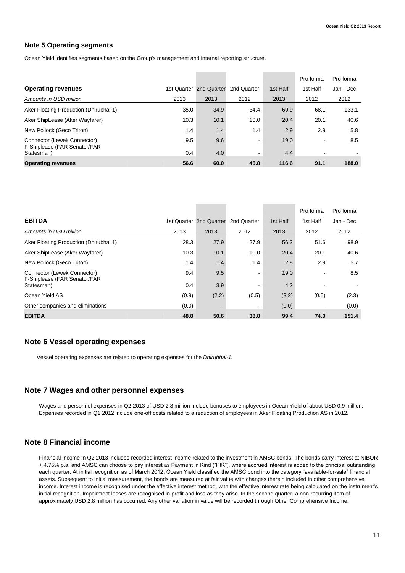#### **Note 5 Operating segments**

Ocean Yield identifies segments based on the Group's management and internal reporting structure.

|                                                             |      |                         |                |          | Pro forma                | Pro forma |
|-------------------------------------------------------------|------|-------------------------|----------------|----------|--------------------------|-----------|
| <b>Operating revenues</b>                                   |      | 1st Quarter 2nd Quarter | 2nd Quarter    | 1st Half | 1st Half                 | Jan - Dec |
| Amounts in USD million                                      | 2013 | 2013                    | 2012           | 2013     | 2012                     | 2012      |
| Aker Floating Production (Dhirubhai 1)                      | 35.0 | 34.9                    | 34.4           | 69.9     | 68.1                     | 133.1     |
| Aker ShipLease (Aker Wayfarer)                              | 10.3 | 10.1                    | 10.0           | 20.4     | 20.1                     | 40.6      |
| New Pollock (Geco Triton)                                   | 1.4  | 1.4                     | 1.4            | 2.9      | 2.9                      | 5.8       |
| Connector (Lewek Connector)<br>F-Shiplease (FAR Senator/FAR | 9.5  | 9.6                     | $\blacksquare$ | 19.0     | $\overline{\phantom{a}}$ | 8.5       |
| Statesman)                                                  | 0.4  | 4.0                     | $\sim$         | 4.4      |                          |           |
| <b>Operating revenues</b>                                   | 56.6 | 60.0                    | 45.8           | 116.6    | 91.1                     | 188.0     |

|                                                             |       |                         |             |          | Pro forma | Pro forma |
|-------------------------------------------------------------|-------|-------------------------|-------------|----------|-----------|-----------|
| <b>EBITDA</b>                                               |       | 1st Quarter 2nd Quarter | 2nd Quarter | 1st Half | 1st Half  | Jan - Dec |
| Amounts in USD million                                      | 2013  | 2013                    | 2012        | 2013     | 2012      | 2012      |
| Aker Floating Production (Dhirubhai 1)                      | 28.3  | 27.9                    | 27.9        | 56.2     | 51.6      | 98.9      |
| Aker ShipLease (Aker Wayfarer)                              | 10.3  | 10.1                    | 10.0        | 20.4     | 20.1      | 40.6      |
| New Pollock (Geco Triton)                                   | 1.4   | 1.4                     | 1.4         | 2.8      | 2.9       | 5.7       |
| Connector (Lewek Connector)<br>F-Shiplease (FAR Senator/FAR | 9.4   | 9.5                     | ۰           | 19.0     |           | 8.5       |
| Statesman)                                                  | 0.4   | 3.9                     | ۰           | 4.2      |           |           |
| Ocean Yield AS                                              | (0.9) | (2.2)                   | (0.5)       | (3.2)    | (0.5)     | (2.3)     |
| Other companies and eliminations                            | (0.0) |                         | $\sim$      | (0.0)    |           | (0.0)     |
| <b>EBITDA</b>                                               | 48.8  | 50.6                    | 38.8        | 99.4     | 74.0      | 151.4     |

#### **Note 6 Vessel operating expenses**

Vessel operating expenses are related to operating expenses for the *Dhirubhai-1.* 

#### **Note 7 Wages and other personnel expenses**

Wages and personnel expenses in Q2 2013 of USD 2.8 million include bonuses to employees in Ocean Yield of about USD 0.9 million. Expenses recorded in Q1 2012 include one-off costs related to a reduction of employees in Aker Floating Production AS in 2012.

#### **Note 8 Financial income**

Financial income in Q2 2013 includes recorded interest income related to the investment in AMSC bonds. The bonds carry interest at NIBOR + 4.75% p.a. and AMSC can choose to pay interest as Payment in Kind ("PIK"), where accrued interest is added to the principal outstanding each quarter. At initial recognition as of March 2012, Ocean Yield classified the AMSC bond into the category "available-for-sale" financial assets. Subsequent to initial measurement, the bonds are measured at fair value with changes therein included in other comprehensive income. Interest income is recognised under the effective interest method, with the effective interest rate being calculated on the instrument's initial recognition. Impairment losses are recognised in profit and loss as they arise. In the second quarter, a non-recurring item of approximately USD 2.8 million has occurred. Any other variation in value will be recorded through Other Comprehensive Income.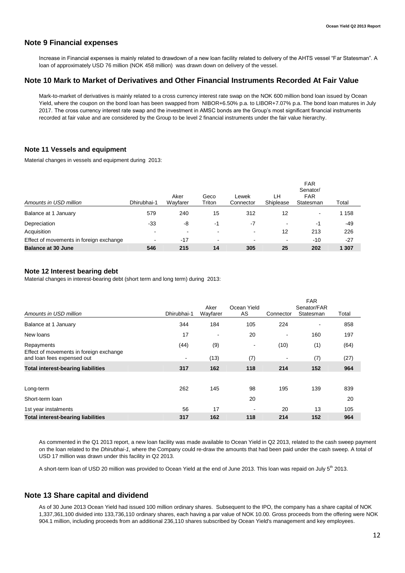#### **Note 9 Financial expenses**

Increase in Financial expenses is mainly related to drawdown of a new loan facility related to delivery of the AHTS vessel "Far Statesman". A loan of approximately USD 76 million (NOK 458 million) was drawn down on delivery of the vessel.

#### **Note 10 Mark to Market of Derivatives and Other Financial Instruments Recorded At Fair Value**

Mark-to-market of derivatives is mainly related to a cross currency interest rate swap on the NOK 600 million bond loan issued by Ocean Yield, where the coupon on the bond loan has been swapped from NIBOR+6.50% p.a. to LIBOR+7.07% p.a. The bond loan matures in July 2017. The cross currency interest rate swap and the investment in AMSC bonds are the Group's most significant financial instruments recorded at fair value and are considered by the Group to be level 2 financial instruments under the fair value hierarchy.

#### **Note 11 Vessels and equipment**

Material changes in vessels and equipment during 2013:

| Amounts in USD million                  | Dhirubhai-1 | Aker<br>Wavfarer | Geco<br>Triton           | Lewek<br>Connector | LH<br>Shiplease | <b>FAR</b><br>Senator/<br><b>FAR</b><br>Statesman | Total |
|-----------------------------------------|-------------|------------------|--------------------------|--------------------|-----------------|---------------------------------------------------|-------|
| Balance at 1 January                    | 579         | 240              | 15                       | 312                | 12              | ٠                                                 | 158   |
| Depreciation                            | $-33$       | -8               | -1                       | -7                 | $\blacksquare$  | -1                                                | -49   |
| Acquisition                             | -           | $\blacksquare$   | -                        | $\sim$             | 12              | 213                                               | 226   |
| Effect of movements in foreign exchange | -           | $-17$            | $\overline{\phantom{a}}$ | -                  | ۰               | $-10$                                             | $-27$ |
| <b>Balance at 30 June</b>               | 546         | 215              | 14                       | 305                | 25              | 202                                               | 1 307 |

#### **Note 12 Interest bearing debt**

Material changes in interest-bearing debt (short term and long term) during 2013:

|                                                       |                |                  |                   |           | <b>FAR</b>               |       |  |  |
|-------------------------------------------------------|----------------|------------------|-------------------|-----------|--------------------------|-------|--|--|
| Amounts in USD million                                | Dhirubhai-1    | Aker<br>Wayfarer | Ocean Yield<br>AS | Connector | Senator/FAR<br>Statesman | Total |  |  |
| Balance at 1 January                                  | 344            | 184              | 105               | 224       |                          | 858   |  |  |
| New loans                                             | 17             |                  | 20                | ٠         | 160                      | 197   |  |  |
| Repayments<br>Effect of movements in foreign exchange | (44)           | (9)              | ۰                 | (10)      | (1)                      | (64)  |  |  |
| and loan fees expensed out                            | $\blacksquare$ | (13)             | (7)               | ٠         | (7)                      | (27)  |  |  |
| <b>Total interest-bearing liabilities</b>             | 317            | 162              | 118               | 214       | 152                      | 964   |  |  |
| Long-term                                             | 262            | 145              | 98                | 195       | 139                      | 839   |  |  |
| Short-term loan                                       |                |                  | 20                |           |                          | 20    |  |  |
| 1st year instalments                                  | 56             | 17               | ۰                 | 20        | 13                       | 105   |  |  |
| <b>Total interest-bearing liabilities</b>             | 317            | 162              | 118               | 214       | 152                      | 964   |  |  |

As commented in the Q1 2013 report, a new loan facility was made available to Ocean Yield in Q2 2013, related to the cash sweep payment on the loan related to the *Dhirubhai-1*, where the Company could re-draw the amounts that had been paid under the cash sweep. A total of USD 17 million was drawn under this facility in Q2 2013.

A short-term loan of USD 20 million was provided to Ocean Yield at the end of June 2013. This loan was repaid on July 5<sup>th</sup> 2013.

#### **Note 13 Share capital and dividend**

As of 30 June 2013 Ocean Yield had issued 100 million ordinary shares. Subsequent to the IPO, the company has a share capital of NOK 1,337,361,100 divided into 133,736,110 ordinary shares, each having a par value of NOK 10.00. Gross proceeds from the offering were NOK 904.1 million, including proceeds from an additional 236,110 shares subscribed by Ocean Yield's management and key employees.